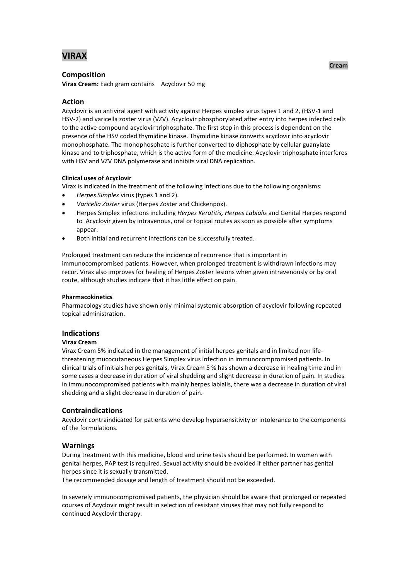# **VIRAX**

### **Composition**

**Virax Cream:** Each gram contains Acyclovir 50 mg

# **Action**

Acyclovir is an antiviral agent with activity against Herpes simplex virus types 1 and 2, (HSV-1 and HSV-2) and varicella zoster virus (VZV). Acyclovir phosphorylated after entry into herpes infected cells to the active compound acyclovir triphosphate. The first step in this process is dependent on the presence of the HSV coded thymidine kinase. Thymidine kinase converts acyclovir into acyclovir monophosphate. The monophosphate is further converted to diphosphate by cellular guanylate kinase and to triphosphate, which is the active form of the medicine. Acyclovir triphosphate interferes with HSV and VZV DNA polymerase and inhibits viral DNA replication.

### **Clinical uses of Acyclovir**

Virax is indicated in the treatment of the following infections due to the following organisms:

- *Herpes Simplex* virus (types 1 and 2).
- *Varicella Zoster* virus (Herpes Zoster and Chickenpox).
- Herpes Simplex infections including *Herpes Keratitis, Herpes Labialis* and Genital Herpes respond to Acyclovir given by intravenous, oral or topical routes as soon as possible after symptoms appear.
- Both initial and recurrent infections can be successfully treated.

Prolonged treatment can reduce the incidence of recurrence that is important in immunocompromised patients. However, when prolonged treatment is withdrawn infections may recur. Virax also improves for healing of Herpes Zoster lesions when given intravenously or by oral route, although studies indicate that it has little effect on pain.

### **Pharmacokinetics**

Pharmacology studies have shown only minimal systemic absorption of acyclovir following repeated topical administration.

# **Indications**

### **Virax Cream**

Virax Cream 5% indicated in the management of initial herpes genitals and in limited non lifethreatening mucocutaneous Herpes Simplex virus infection in immunocompromised patients. In clinical trials of initials herpes genitals, Virax Cream 5 % has shown a decrease in healing time and in some cases a decrease in duration of viral shedding and slight decrease in duration of pain. In studies in immunocompromised patients with mainly herpes labialis, there was a decrease in duration of viral shedding and a slight decrease in duration of pain.

# **Contraindications**

Acyclovir contraindicated for patients who develop hypersensitivity or intolerance to the components of the formulations.

# **Warnings**

During treatment with this medicine, blood and urine tests should be performed. In women with genital herpes, PAP test is required. Sexual activity should be avoided if either partner has genital herpes since it is sexually transmitted.

The recommended dosage and length of treatment should not be exceeded.

In severely immunocompromised patients, the physician should be aware that prolonged or repeated courses of Acyclovir might result in selection of resistant viruses that may not fully respond to continued Acyclovir therapy.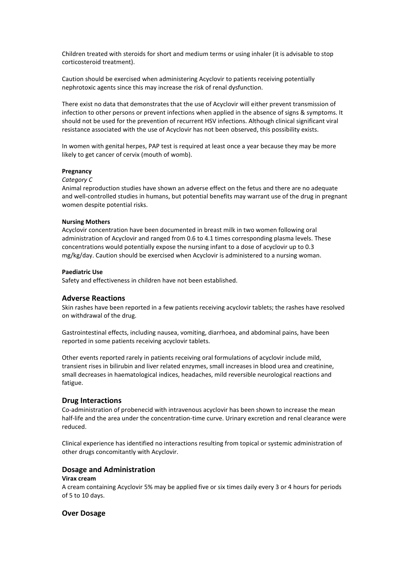Children treated with steroids for short and medium terms or using inhaler (it is advisable to stop corticosteroid treatment).

Caution should be exercised when administering Acyclovir to patients receiving potentially nephrotoxic agents since this may increase the risk of renal dysfunction.

There exist no data that demonstrates that the use of Acyclovir will either prevent transmission of infection to other persons or prevent infections when applied in the absence of signs & symptoms. It should not be used for the prevention of recurrent HSV infections. Although clinical significant viral resistance associated with the use of Acyclovir has not been observed, this possibility exists.

In women with genital herpes, PAP test is required at least once a year because they may be more likely to get cancer of cervix (mouth of womb).

#### **Pregnancy**

#### *Category C*

Animal reproduction studies have shown an adverse effect on the fetus and there are no adequate and well-controlled studies in humans, but potential benefits may warrant use of the drug in pregnant women despite potential risks.

#### **Nursing Mothers**

Acyclovir concentration have been documented in breast milk in two women following oral administration of Acyclovir and ranged from 0.6 to 4.1 times corresponding plasma levels. These concentrations would potentially expose the nursing infant to a dose of acyclovir up to 0.3 mg/kg/day. Caution should be exercised when Acyclovir is administered to a nursing woman.

#### **Paediatric Use**

Safety and effectiveness in children have not been established.

### **Adverse Reactions**

Skin rashes have been reported in a few patients receiving acyclovir tablets; the rashes have resolved on withdrawal of the drug.

Gastrointestinal effects, including nausea, vomiting, diarrhoea, and abdominal pains, have been reported in some patients receiving acyclovir tablets.

Other events reported rarely in patients receiving oral formulations of acyclovir include mild, transient rises in bilirubin and liver related enzymes, small increases in blood urea and creatinine, small decreases in haematological indices, headaches, mild reversible neurological reactions and fatigue.

#### **Drug Interactions**

Co-administration of probenecid with intravenous acyclovir has been shown to increase the mean half-life and the area under the concentration-time curve. Urinary excretion and renal clearance were reduced.

Clinical experience has identified no interactions resulting from topical or systemic administration of other drugs concomitantly with Acyclovir.

### **Dosage and Administration**

#### **Virax cream**

A cream containing Acyclovir 5% may be applied five or six times daily every 3 or 4 hours for periods of 5 to 10 days.

#### **Over Dosage**